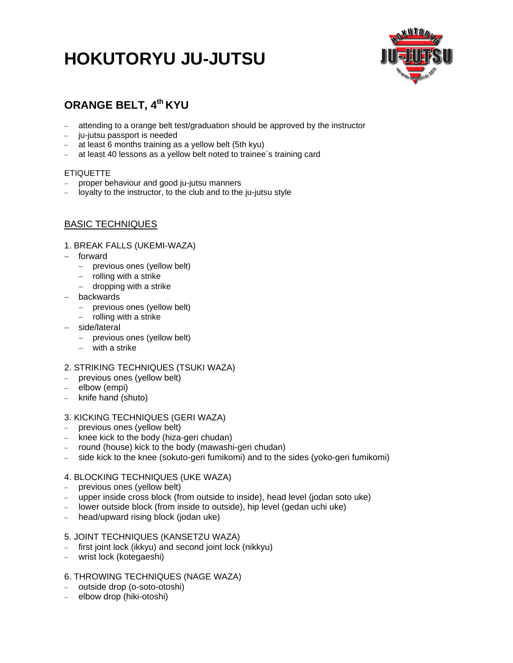# **HOKUTORYU JU-JUTSU**



# **ORANGE BELT, 4th KYU**

- attending to a orange belt test/graduation should be approved by the instructor
- ju-jutsu passport is needed
- $-$  at least 6 months training as a yellow belt (5th kyu)
- at least 40 lessons as a yellow belt noted to trainee's training card

### ETIQUETTE

- proper behaviour and good ju-jutsu manners
- loyalty to the instructor, to the club and to the ju-jutsu style

# BASIC TECHNIQUES

#### 1. BREAK FALLS (UKEMI-WAZA)

- forward
	- previous ones (yellow belt)
	- $-$  rolling with a strike
	- dropping with a strike
- backwards
	- previous ones (yellow belt)
	- rolling with a strike
- side/lateral
	- previous ones (yellow belt)
	- with a strike

### 2. STRIKING TECHNIQUES (TSUKI WAZA)

- previous ones (yellow belt)
- elbow (empi)
- knife hand (shuto)

### 3. KICKING TECHNIQUES (GERI WAZA)

- previous ones (yellow belt)
- knee kick to the body (hiza-geri chudan)
- round (house) kick to the body (mawashi-geri chudan)
- side kick to the knee (sokuto-geri fumikomi) and to the sides (yoko-geri fumikomi)

### 4. BLOCKING TECHNIQUES (UKE WAZA)

- previous ones (yellow belt)
- upper inside cross block (from outside to inside), head level (jodan soto uke)
- lower outside block (from inside to outside), hip level (gedan uchi uke)
- head/upward rising block (jodan uke)

#### 5. JOINT TECHNIQUES (KANSETZU WAZA)

- first joint lock (ikkyu) and second joint lock (nikkyu)
- wrist lock (kotegaeshi)

# 6. THROWING TECHNIQUES (NAGE WAZA)

- outside drop (o-soto-otoshi)
- elbow drop (hiki-otoshi)